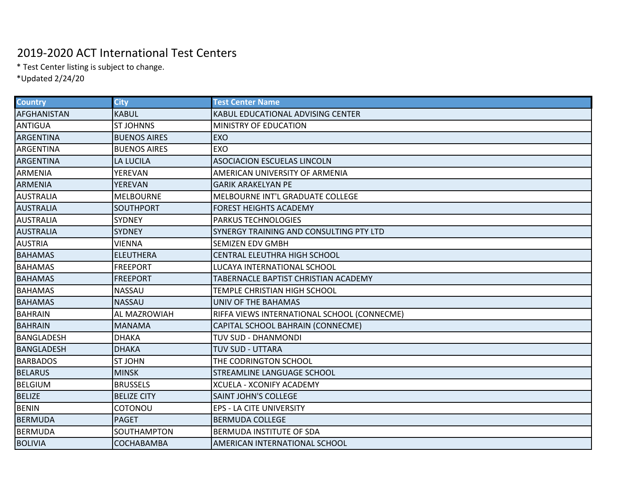## 2019-2020 ACT International Test Centers

\* Test Center listing is subject to change.

\*Updated 2/24/20

| <b>Country</b>    | <b>City</b>         | <b>Test Center Name</b>                     |
|-------------------|---------------------|---------------------------------------------|
| AFGHANISTAN       | <b>KABUL</b>        | KABUL EDUCATIONAL ADVISING CENTER           |
| <b>ANTIGUA</b>    | <b>ST JOHNNS</b>    | <b>MINISTRY OF EDUCATION</b>                |
| <b>ARGENTINA</b>  | <b>BUENOS AIRES</b> | <b>EXO</b>                                  |
| ARGENTINA         | <b>BUENOS AIRES</b> | EXO                                         |
| <b>ARGENTINA</b>  | LA LUCILA           | <b>ASOCIACION ESCUELAS LINCOLN</b>          |
| <b>ARMENIA</b>    | YEREVAN             | AMERICAN UNIVERSITY OF ARMENIA              |
| <b>ARMENIA</b>    | YEREVAN             | <b>GARIK ARAKELYAN PE</b>                   |
| <b>AUSTRALIA</b>  | <b>MELBOURNE</b>    | MELBOURNE INT'L GRADUATE COLLEGE            |
| <b>AUSTRALIA</b>  | <b>SOUTHPORT</b>    | <b>FOREST HEIGHTS ACADEMY</b>               |
| <b>AUSTRALIA</b>  | <b>SYDNEY</b>       | <b>PARKUS TECHNOLOGIES</b>                  |
| <b>AUSTRALIA</b>  | <b>SYDNEY</b>       | SYNERGY TRAINING AND CONSULTING PTY LTD     |
| <b>AUSTRIA</b>    | VIENNA              | <b>SEMIZEN EDV GMBH</b>                     |
| <b>BAHAMAS</b>    | <b>ELEUTHERA</b>    | CENTRAL ELEUTHRA HIGH SCHOOL                |
| <b>BAHAMAS</b>    | <b>FREEPORT</b>     | LUCAYA INTERNATIONAL SCHOOL                 |
| <b>BAHAMAS</b>    | <b>FREEPORT</b>     | TABERNACLE BAPTIST CHRISTIAN ACADEMY        |
| <b>BAHAMAS</b>    | NASSAU              | TEMPLE CHRISTIAN HIGH SCHOOL                |
| <b>BAHAMAS</b>    | NASSAU              | UNIV OF THE BAHAMAS                         |
| <b>BAHRAIN</b>    | AL MAZROWIAH        | RIFFA VIEWS INTERNATIONAL SCHOOL (CONNECME) |
| <b>BAHRAIN</b>    | <b>MANAMA</b>       | CAPITAL SCHOOL BAHRAIN (CONNECME)           |
| <b>BANGLADESH</b> | <b>DHAKA</b>        | <b>TUV SUD - DHANMONDI</b>                  |
| <b>BANGLADESH</b> | <b>DHAKA</b>        | <b>TUV SUD - UTTARA</b>                     |
| <b>BARBADOS</b>   | <b>ST JOHN</b>      | THE CODRINGTON SCHOOL                       |
| <b>BELARUS</b>    | <b>MINSK</b>        | STREAMLINE LANGUAGE SCHOOL                  |
| <b>BELGIUM</b>    | <b>BRUSSELS</b>     | XCUELA - XCONIFY ACADEMY                    |
| <b>BELIZE</b>     | <b>BELIZE CITY</b>  | <b>SAINT JOHN'S COLLEGE</b>                 |
| <b>BENIN</b>      | COTONOU             | <b>EPS - LA CITE UNIVERSITY</b>             |
| <b>BERMUDA</b>    | <b>PAGET</b>        | <b>BERMUDA COLLEGE</b>                      |
| <b>BERMUDA</b>    | SOUTHAMPTON         | BERMUDA INSTITUTE OF SDA                    |
| <b>BOLIVIA</b>    | COCHABAMBA          | AMERICAN INTERNATIONAL SCHOOL               |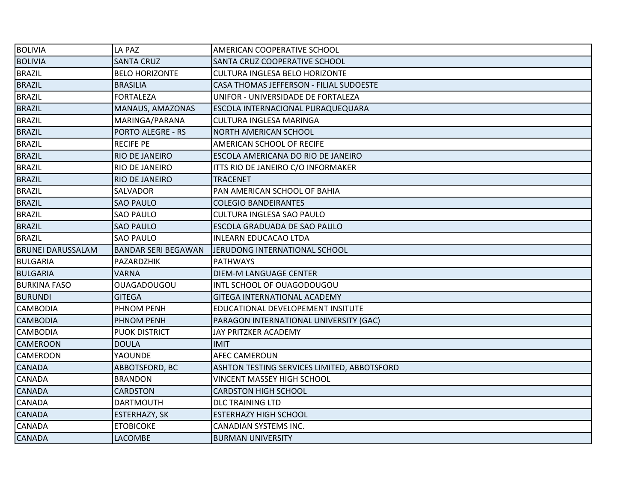| <b>BOLIVIA</b>           | LA PAZ                     | AMERICAN COOPERATIVE SCHOOL                 |
|--------------------------|----------------------------|---------------------------------------------|
| <b>BOLIVIA</b>           | <b>SANTA CRUZ</b>          | SANTA CRUZ COOPERATIVE SCHOOL               |
| <b>BRAZIL</b>            | <b>BELO HORIZONTE</b>      | <b>CULTURA INGLESA BELO HORIZONTE</b>       |
| <b>BRAZIL</b>            | <b>BRASILIA</b>            | CASA THOMAS JEFFERSON - FILIAL SUDOESTE     |
| <b>BRAZIL</b>            | <b>FORTALEZA</b>           | UNIFOR - UNIVERSIDADE DE FORTALEZA          |
| <b>BRAZIL</b>            | MANAUS, AMAZONAS           | ESCOLA INTERNACIONAL PURAQUEQUARA           |
| <b>BRAZIL</b>            | MARINGA/PARANA             | CULTURA INGLESA MARINGA                     |
| <b>BRAZIL</b>            | <b>PORTO ALEGRE - RS</b>   | <b>NORTH AMERICAN SCHOOL</b>                |
| <b>BRAZIL</b>            | <b>RECIFE PE</b>           | AMERICAN SCHOOL OF RECIFE                   |
| <b>BRAZIL</b>            | <b>RIO DE JANEIRO</b>      | ESCOLA AMERICANA DO RIO DE JANEIRO          |
| <b>BRAZIL</b>            | RIO DE JANEIRO             | ITTS RIO DE JANEIRO C/O INFORMAKER          |
| <b>BRAZIL</b>            | <b>RIO DE JANEIRO</b>      | <b>TRACENET</b>                             |
| <b>BRAZIL</b>            | SALVADOR                   | PAN AMERICAN SCHOOL OF BAHIA                |
| <b>BRAZIL</b>            | <b>SAO PAULO</b>           | <b>COLEGIO BANDEIRANTES</b>                 |
| <b>BRAZIL</b>            | <b>SAO PAULO</b>           | CULTURA INGLESA SAO PAULO                   |
| <b>BRAZIL</b>            | <b>SAO PAULO</b>           | ESCOLA GRADUADA DE SAO PAULO                |
| <b>BRAZIL</b>            | <b>SAO PAULO</b>           | <b>INLEARN EDUCACAO LTDA</b>                |
| <b>BRUNEI DARUSSALAM</b> | <b>BANDAR SERI BEGAWAN</b> | JERUDONG INTERNATIONAL SCHOOL               |
| <b>BULGARIA</b>          | PAZARDZHIK                 | <b>PATHWAYS</b>                             |
| <b>BULGARIA</b>          | <b>VARNA</b>               | DIEM-M LANGUAGE CENTER                      |
| <b>BURKINA FASO</b>      | <b>OUAGADOUGOU</b>         | INTL SCHOOL OF OUAGODOUGOU                  |
| <b>BURUNDI</b>           | <b>GITEGA</b>              | <b>GITEGA INTERNATIONAL ACADEMY</b>         |
| <b>CAMBODIA</b>          | <b>PHNOM PENH</b>          | EDUCATIONAL DEVELOPEMENT INSITUTE           |
| <b>CAMBODIA</b>          | <b>PHNOM PENH</b>          | PARAGON INTERNATIONAL UNIVERSITY (GAC)      |
| CAMBODIA                 | <b>PUOK DISTRICT</b>       | JAY PRITZKER ACADEMY                        |
| CAMEROON                 | <b>DOULA</b>               | <b>IMIT</b>                                 |
| CAMEROON                 | <b>YAOUNDE</b>             | <b>AFEC CAMEROUN</b>                        |
| CANADA                   | ABBOTSFORD, BC             | ASHTON TESTING SERVICES LIMITED, ABBOTSFORD |
| CANADA                   | <b>BRANDON</b>             | <b>VINCENT MASSEY HIGH SCHOOL</b>           |
| CANADA                   | <b>CARDSTON</b>            | <b>CARDSTON HIGH SCHOOL</b>                 |
| CANADA                   | <b>DARTMOUTH</b>           | <b>DLC TRAINING LTD</b>                     |
| CANADA                   | ESTERHAZY, SK              | <b>ESTERHAZY HIGH SCHOOL</b>                |
| CANADA                   | <b>ETOBICOKE</b>           | CANADIAN SYSTEMS INC.                       |
| <b>CANADA</b>            | <b>LACOMBE</b>             | <b>BURMAN UNIVERSITY</b>                    |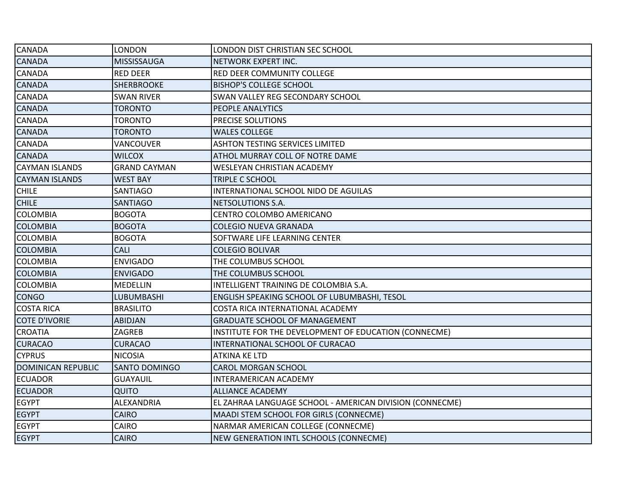| CANADA                    | LONDON               | LONDON DIST CHRISTIAN SEC SCHOOL                         |
|---------------------------|----------------------|----------------------------------------------------------|
| <b>CANADA</b>             | MISSISSAUGA          | NETWORK EXPERT INC.                                      |
| CANADA                    | <b>RED DEER</b>      | <b>RED DEER COMMUNITY COLLEGE</b>                        |
| <b>CANADA</b>             | <b>SHERBROOKE</b>    | <b>BISHOP'S COLLEGE SCHOOL</b>                           |
| CANADA                    | <b>SWAN RIVER</b>    | SWAN VALLEY REG SECONDARY SCHOOL                         |
| CANADA                    | <b>TORONTO</b>       | PEOPLE ANALYTICS                                         |
| CANADA                    | TORONTO              | PRECISE SOLUTIONS                                        |
| <b>CANADA</b>             | <b>TORONTO</b>       | <b>WALES COLLEGE</b>                                     |
| CANADA                    | VANCOUVER            | <b>ASHTON TESTING SERVICES LIMITED</b>                   |
| <b>CANADA</b>             | <b>WILCOX</b>        | ATHOL MURRAY COLL OF NOTRE DAME                          |
| <b>CAYMAN ISLANDS</b>     | <b>GRAND CAYMAN</b>  | WESLEYAN CHRISTIAN ACADEMY                               |
| <b>CAYMAN ISLANDS</b>     | <b>WEST BAY</b>      | TRIPLE C SCHOOL                                          |
| <b>CHILE</b>              | <b>SANTIAGO</b>      | INTERNATIONAL SCHOOL NIDO DE AGUILAS                     |
| <b>CHILE</b>              | <b>SANTIAGO</b>      | NETSOLUTIONS S.A.                                        |
| COLOMBIA                  | <b>BOGOTA</b>        | CENTRO COLOMBO AMERICANO                                 |
| <b>COLOMBIA</b>           | <b>BOGOTA</b>        | <b>COLEGIO NUEVA GRANADA</b>                             |
| <b>COLOMBIA</b>           | <b>BOGOTA</b>        | SOFTWARE LIFE LEARNING CENTER                            |
| <b>COLOMBIA</b>           | <b>CALI</b>          | <b>COLEGIO BOLIVAR</b>                                   |
| <b>COLOMBIA</b>           | <b>ENVIGADO</b>      | THE COLUMBUS SCHOOL                                      |
| <b>COLOMBIA</b>           | <b>ENVIGADO</b>      | THE COLUMBUS SCHOOL                                      |
| <b>COLOMBIA</b>           | <b>MEDELLIN</b>      | INTELLIGENT TRAINING DE COLOMBIA S.A.                    |
| <b>CONGO</b>              | <b>LUBUMBASHI</b>    | ENGLISH SPEAKING SCHOOL OF LUBUMBASHI, TESOL             |
| <b>COSTA RICA</b>         | <b>BRASILITO</b>     | COSTA RICA INTERNATIONAL ACADEMY                         |
| <b>COTE D'IVORIE</b>      | <b>ABIDJAN</b>       | <b>GRADUATE SCHOOL OF MANAGEMENT</b>                     |
| <b>CROATIA</b>            | ZAGREB               | INSTITUTE FOR THE DEVELOPMENT OF EDUCATION (CONNECME)    |
| <b>CURACAO</b>            | <b>CURACAO</b>       | INTERNATIONAL SCHOOL OF CURACAO                          |
| <b>CYPRUS</b>             | <b>NICOSIA</b>       | <b>ATKINA KE LTD</b>                                     |
| <b>DOMINICAN REPUBLIC</b> | <b>SANTO DOMINGO</b> | <b>CAROL MORGAN SCHOOL</b>                               |
| <b>ECUADOR</b>            | <b>GUAYAUIL</b>      | INTERAMERICAN ACADEMY                                    |
| <b>ECUADOR</b>            | QUITO                | <b>ALLIANCE ACADEMY</b>                                  |
| <b>EGYPT</b>              | ALEXANDRIA           | EL ZAHRAA LANGUAGE SCHOOL - AMERICAN DIVISION (CONNECME) |
| <b>EGYPT</b>              | <b>CAIRO</b>         | MAADI STEM SCHOOL FOR GIRLS (CONNECME)                   |
| <b>EGYPT</b>              | CAIRO                | NARMAR AMERICAN COLLEGE (CONNECME)                       |
| <b>EGYPT</b>              | <b>CAIRO</b>         | NEW GENERATION INTL SCHOOLS (CONNECME)                   |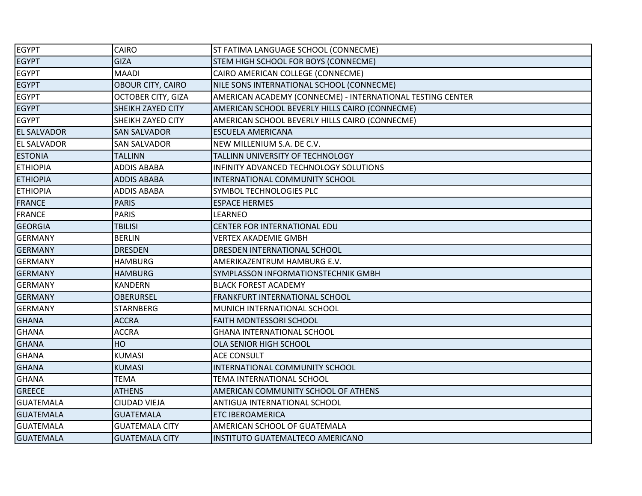| <b>EGYPT</b>       | <b>CAIRO</b>              | ST FATIMA LANGUAGE SCHOOL (CONNECME)                       |
|--------------------|---------------------------|------------------------------------------------------------|
| <b>EGYPT</b>       | <b>GIZA</b>               | STEM HIGH SCHOOL FOR BOYS (CONNECME)                       |
| <b>EGYPT</b>       | <b>MAADI</b>              | CAIRO AMERICAN COLLEGE (CONNECME)                          |
| <b>EGYPT</b>       | OBOUR CITY, CAIRO         | NILE SONS INTERNATIONAL SCHOOL (CONNECME)                  |
| <b>EGYPT</b>       | <b>OCTOBER CITY, GIZA</b> | AMERICAN ACADEMY (CONNECME) - INTERNATIONAL TESTING CENTER |
| <b>EGYPT</b>       | SHEIKH ZAYED CITY         | AMERICAN SCHOOL BEVERLY HILLS CAIRO (CONNECME)             |
| <b>EGYPT</b>       | SHEIKH ZAYED CITY         | AMERICAN SCHOOL BEVERLY HILLS CAIRO (CONNECME)             |
| <b>EL SALVADOR</b> | <b>SAN SALVADOR</b>       | <b>ESCUELA AMERICANA</b>                                   |
| <b>EL SALVADOR</b> | <b>SAN SALVADOR</b>       | NEW MILLENIUM S.A. DE C.V.                                 |
| <b>ESTONIA</b>     | <b>TALLINN</b>            | TALLINN UNIVERSITY OF TECHNOLOGY                           |
| <b>ETHIOPIA</b>    | <b>ADDIS ABABA</b>        | INFINITY ADVANCED TECHNOLOGY SOLUTIONS                     |
| <b>ETHIOPIA</b>    | <b>ADDIS ABABA</b>        | INTERNATIONAL COMMUNITY SCHOOL                             |
| <b>ETHIOPIA</b>    | <b>ADDIS ABABA</b>        | SYMBOL TECHNOLOGIES PLC                                    |
| <b>FRANCE</b>      | <b>PARIS</b>              | <b>ESPACE HERMES</b>                                       |
| <b>FRANCE</b>      | <b>PARIS</b>              | <b>LEARNEO</b>                                             |
| <b>GEORGIA</b>     | <b>TBILISI</b>            | <b>CENTER FOR INTERNATIONAL EDU</b>                        |
| <b>GERMANY</b>     | <b>BERLIN</b>             | <b>VERTEX AKADEMIE GMBH</b>                                |
| <b>GERMANY</b>     | <b>DRESDEN</b>            | DRESDEN INTERNATIONAL SCHOOL                               |
| <b>GERMANY</b>     | <b>HAMBURG</b>            | AMERIKAZENTRUM HAMBURG E.V.                                |
| <b>GERMANY</b>     | <b>HAMBURG</b>            | SYMPLASSON INFORMATIONSTECHNIK GMBH                        |
| <b>GERMANY</b>     | KANDERN                   | <b>BLACK FOREST ACADEMY</b>                                |
| <b>GERMANY</b>     | <b>OBERURSEL</b>          | FRANKFURT INTERNATIONAL SCHOOL                             |
| <b>GERMANY</b>     | <b>STARNBERG</b>          | MUNICH INTERNATIONAL SCHOOL                                |
| <b>GHANA</b>       | <b>ACCRA</b>              | FAITH MONTESSORI SCHOOL                                    |
| <b>GHANA</b>       | <b>ACCRA</b>              | <b>GHANA INTERNATIONAL SCHOOL</b>                          |
| <b>GHANA</b>       | HO                        | OLA SENIOR HIGH SCHOOL                                     |
| <b>GHANA</b>       | <b>KUMASI</b>             | <b>ACE CONSULT</b>                                         |
| <b>GHANA</b>       | <b>KUMASI</b>             | INTERNATIONAL COMMUNITY SCHOOL                             |
| <b>GHANA</b>       | TEMA                      | TEMA INTERNATIONAL SCHOOL                                  |
| <b>GREECE</b>      | <b>ATHENS</b>             | AMERICAN COMMUNITY SCHOOL OF ATHENS                        |
| <b>GUATEMALA</b>   | CIUDAD VIEJA              | ANTIGUA INTERNATIONAL SCHOOL                               |
| <b>GUATEMALA</b>   | <b>GUATEMALA</b>          | <b>ETC IBEROAMERICA</b>                                    |
| <b>GUATEMALA</b>   | <b>GUATEMALA CITY</b>     | AMERICAN SCHOOL OF GUATEMALA                               |
| <b>GUATEMALA</b>   | <b>GUATEMALA CITY</b>     | INSTITUTO GUATEMALTECO AMERICANO                           |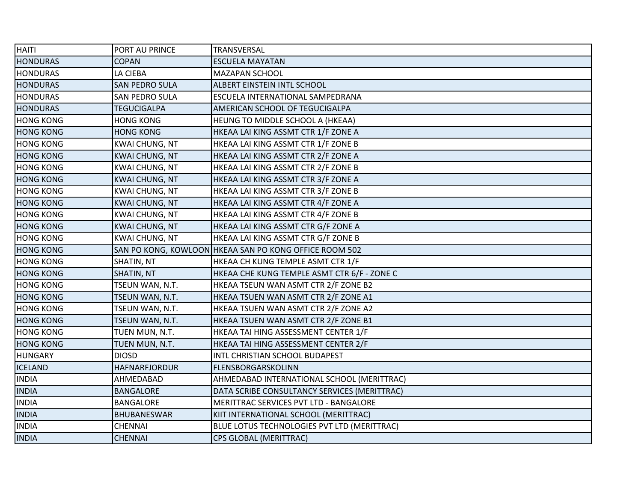| <b>HAITI</b>     | PORT AU PRINCE        | TRANSVERSAL                                            |
|------------------|-----------------------|--------------------------------------------------------|
| <b>HONDURAS</b>  | <b>COPAN</b>          | <b>ESCUELA MAYATAN</b>                                 |
| <b>HONDURAS</b>  | LA CIEBA              | MAZAPAN SCHOOL                                         |
| <b>HONDURAS</b>  | <b>SAN PEDRO SULA</b> | <b>ALBERT EINSTEIN INTL SCHOOL</b>                     |
| <b>HONDURAS</b>  | SAN PEDRO SULA        | ESCUELA INTERNATIONAL SAMPEDRANA                       |
| <b>HONDURAS</b>  | <b>TEGUCIGALPA</b>    | AMERICAN SCHOOL OF TEGUCIGALPA                         |
| <b>HONG KONG</b> | <b>HONG KONG</b>      | HEUNG TO MIDDLE SCHOOL A (HKEAA)                       |
| <b>HONG KONG</b> | <b>HONG KONG</b>      | HKEAA LAI KING ASSMT CTR 1/F ZONE A                    |
| <b>HONG KONG</b> | <b>KWAI CHUNG, NT</b> | HKEAA LAI KING ASSMT CTR 1/F ZONE B                    |
| <b>HONG KONG</b> | <b>KWAI CHUNG, NT</b> | HKEAA LAI KING ASSMT CTR 2/F ZONE A                    |
| <b>HONG KONG</b> | <b>KWAI CHUNG, NT</b> | HKEAA LAI KING ASSMT CTR 2/F ZONE B                    |
| <b>HONG KONG</b> | <b>KWAI CHUNG, NT</b> | HKEAA LAI KING ASSMT CTR 3/F ZONE A                    |
| <b>HONG KONG</b> | <b>KWAI CHUNG, NT</b> | HKEAA LAI KING ASSMT CTR 3/F ZONE B                    |
| <b>HONG KONG</b> | <b>KWAI CHUNG, NT</b> | HKEAA LAI KING ASSMT CTR 4/F ZONE A                    |
| <b>HONG KONG</b> | <b>KWAI CHUNG, NT</b> | HKEAA LAI KING ASSMT CTR 4/F ZONE B                    |
| <b>HONG KONG</b> | <b>KWAI CHUNG, NT</b> | HKEAA LAI KING ASSMT CTR G/F ZONE A                    |
| <b>HONG KONG</b> | <b>KWAI CHUNG, NT</b> | HKEAA LAI KING ASSMT CTR G/F ZONE B                    |
| <b>HONG KONG</b> |                       | SAN PO KONG, KOWLOON HKEAA SAN PO KONG OFFICE ROOM 502 |
| <b>HONG KONG</b> | SHATIN, NT            | HKEAA CH KUNG TEMPLE ASMT CTR 1/F                      |
| <b>HONG KONG</b> | SHATIN, NT            | HKEAA CHE KUNG TEMPLE ASMT CTR 6/F - ZONE C            |
| <b>HONG KONG</b> | TSEUN WAN, N.T.       | HKEAA TSEUN WAN ASMT CTR 2/F ZONE B2                   |
| <b>HONG KONG</b> | TSEUN WAN, N.T.       | HKEAA TSUEN WAN ASMT CTR 2/F ZONE A1                   |
| <b>HONG KONG</b> | TSEUN WAN, N.T.       | HKEAA TSUEN WAN ASMT CTR 2/F ZONE A2                   |
| <b>HONG KONG</b> | TSEUN WAN, N.T.       | HKEAA TSUEN WAN ASMT CTR 2/F ZONE B1                   |
| <b>HONG KONG</b> | TUEN MUN, N.T.        | HKEAA TAI HING ASSESSMENT CENTER 1/F                   |
| <b>HONG KONG</b> | TUEN MUN, N.T.        | HKEAA TAI HING ASSESSMENT CENTER 2/F                   |
| <b>HUNGARY</b>   | <b>DIOSD</b>          | INTL CHRISTIAN SCHOOL BUDAPEST                         |
| <b>ICELAND</b>   | HAFNARFJORDUR         | FLENSBORGARSKOLINN                                     |
| <b>INDIA</b>     | AHMEDABAD             | AHMEDABAD INTERNATIONAL SCHOOL (MERITTRAC)             |
| <b>INDIA</b>     | <b>BANGALORE</b>      | DATA SCRIBE CONSULTANCY SERVICES (MERITTRAC)           |
| <b>INDIA</b>     | <b>BANGALORE</b>      | MERITTRAC SERVICES PVT LTD - BANGALORE                 |
| <b>INDIA</b>     | BHUBANESWAR           | KIIT INTERNATIONAL SCHOOL (MERITTRAC)                  |
| <b>INDIA</b>     | <b>CHENNAI</b>        | BLUE LOTUS TECHNOLOGIES PVT LTD (MERITTRAC)            |
| <b>INDIA</b>     | <b>CHENNAI</b>        | CPS GLOBAL (MERITTRAC)                                 |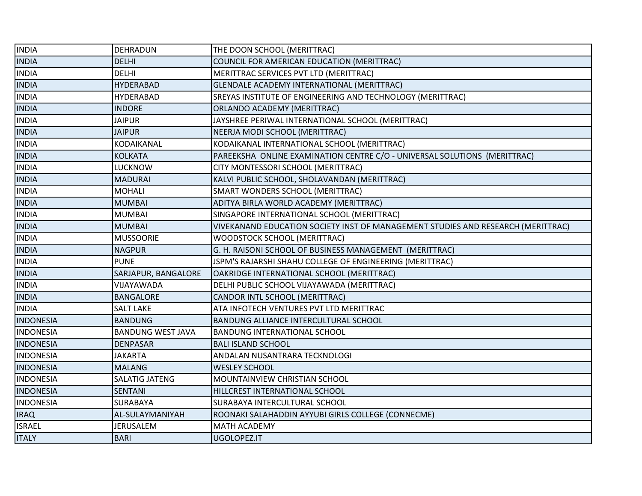| <b>INDIA</b>     | DEHRADUN                 | THE DOON SCHOOL (MERITTRAC)                                                      |
|------------------|--------------------------|----------------------------------------------------------------------------------|
| <b>INDIA</b>     | <b>DELHI</b>             | COUNCIL FOR AMERICAN EDUCATION (MERITTRAC)                                       |
| <b>INDIA</b>     | <b>DELHI</b>             | MERITTRAC SERVICES PVT LTD (MERITTRAC)                                           |
| <b>INDIA</b>     | <b>HYDERABAD</b>         | GLENDALE ACADEMY INTERNATIONAL (MERITTRAC)                                       |
| <b>INDIA</b>     | <b>HYDERABAD</b>         | SREYAS INSTITUTE OF ENGINEERING AND TECHNOLOGY (MERITTRAC)                       |
| <b>INDIA</b>     | <b>INDORE</b>            | ORLANDO ACADEMY (MERITTRAC)                                                      |
| <b>INDIA</b>     | <b>JAIPUR</b>            | JAYSHREE PERIWAL INTERNATIONAL SCHOOL (MERITTRAC)                                |
| <b>INDIA</b>     | <b>JAIPUR</b>            | NEERJA MODI SCHOOL (MERITTRAC)                                                   |
| <b>INDIA</b>     | KODAIKANAL               | KODAIKANAL INTERNATIONAL SCHOOL (MERITTRAC)                                      |
| <b>INDIA</b>     | <b>KOLKATA</b>           | PAREEKSHA ONLINE EXAMINATION CENTRE C/O - UNIVERSAL SOLUTIONS (MERITTRAC)        |
| <b>INDIA</b>     | LUCKNOW                  | CITY MONTESSORI SCHOOL (MERITTRAC)                                               |
| <b>INDIA</b>     | <b>MADURAI</b>           | KALVI PUBLIC SCHOOL, SHOLAVANDAN (MERITTRAC)                                     |
| <b>INDIA</b>     | <b>MOHALI</b>            | SMART WONDERS SCHOOL (MERITTRAC)                                                 |
| <b>INDIA</b>     | <b>MUMBAI</b>            | ADITYA BIRLA WORLD ACADEMY (MERITTRAC)                                           |
| <b>INDIA</b>     | <b>MUMBAI</b>            | SINGAPORE INTERNATIONAL SCHOOL (MERITTRAC)                                       |
| <b>INDIA</b>     | <b>MUMBAI</b>            | VIVEKANAND EDUCATION SOCIETY INST OF MANAGEMENT STUDIES AND RESEARCH (MERITTRAC) |
| <b>INDIA</b>     | <b>MUSSOORIE</b>         | WOODSTOCK SCHOOL (MERITTRAC)                                                     |
| <b>INDIA</b>     | <b>NAGPUR</b>            | G. H. RAISONI SCHOOL OF BUSINESS MANAGEMENT (MERITTRAC)                          |
| <b>INDIA</b>     | <b>PUNE</b>              | JSPM'S RAJARSHI SHAHU COLLEGE OF ENGINEERING (MERITTRAC)                         |
| <b>INDIA</b>     | SARJAPUR, BANGALORE      | OAKRIDGE INTERNATIONAL SCHOOL (MERITTRAC)                                        |
| <b>INDIA</b>     | VIJAYAWADA               | DELHI PUBLIC SCHOOL VIJAYAWADA (MERITTRAC)                                       |
| <b>INDIA</b>     | <b>BANGALORE</b>         | CANDOR INTL SCHOOL (MERITTRAC)                                                   |
| <b>INDIA</b>     | <b>SALT LAKE</b>         | ATA INFOTECH VENTURES PVT LTD MERITTRAC                                          |
| <b>INDONESIA</b> | <b>BANDUNG</b>           | BANDUNG ALLIANCE INTERCULTURAL SCHOOL                                            |
| <b>INDONESIA</b> | <b>BANDUNG WEST JAVA</b> | BANDUNG INTERNATIONAL SCHOOL                                                     |
| <b>INDONESIA</b> | <b>DENPASAR</b>          | <b>BALI ISLAND SCHOOL</b>                                                        |
| <b>INDONESIA</b> | JAKARTA                  | ANDALAN NUSANTRARA TECKNOLOGI                                                    |
| <b>INDONESIA</b> | <b>MALANG</b>            | <b>WESLEY SCHOOL</b>                                                             |
| <b>INDONESIA</b> | SALATIG JATENG           | MOUNTAINVIEW CHRISTIAN SCHOOL                                                    |
| <b>INDONESIA</b> | <b>SENTANI</b>           | HILLCREST INTERNATIONAL SCHOOL                                                   |
| <b>INDONESIA</b> | SURABAYA                 | SURABAYA INTERCULTURAL SCHOOL                                                    |
| <b>IRAQ</b>      | AL-SULAYMANIYAH          | ROONAKI SALAHADDIN AYYUBI GIRLS COLLEGE (CONNECME)                               |
| <b>ISRAEL</b>    | <b>JERUSALEM</b>         | <b>MATH ACADEMY</b>                                                              |
| <b>ITALY</b>     | <b>BARI</b>              | UGOLOPEZ.IT                                                                      |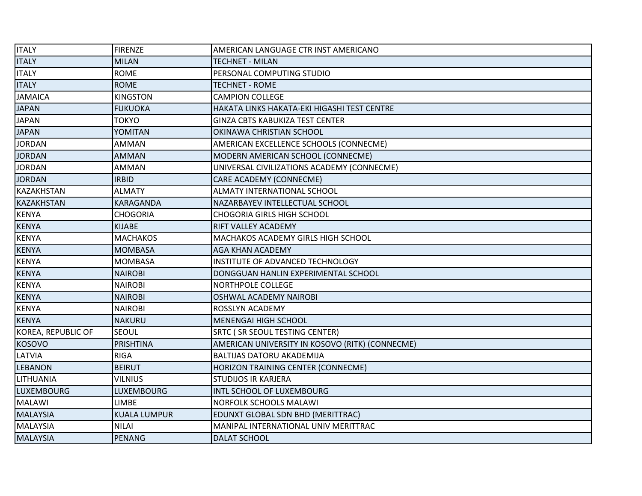| <b>ITALY</b>       | <b>FIRENZE</b>      | AMERICAN LANGUAGE CTR INST AMERICANO            |
|--------------------|---------------------|-------------------------------------------------|
| <b>ITALY</b>       | <b>MILAN</b>        | <b>TECHNET - MILAN</b>                          |
| <b>ITALY</b>       | <b>ROME</b>         | PERSONAL COMPUTING STUDIO                       |
| <b>ITALY</b>       | <b>ROME</b>         | <b>TECHNET - ROME</b>                           |
| <b>JAMAICA</b>     | <b>KINGSTON</b>     | <b>CAMPION COLLEGE</b>                          |
| <b>JAPAN</b>       | <b>FUKUOKA</b>      | HAKATA LINKS HAKATA-EKI HIGASHI TEST CENTRE     |
| <b>JAPAN</b>       | TOKYO               | <b>GINZA CBTS KABUKIZA TEST CENTER</b>          |
| <b>JAPAN</b>       | YOMITAN             | OKINAWA CHRISTIAN SCHOOL                        |
| <b>JORDAN</b>      | <b>AMMAN</b>        | AMERICAN EXCELLENCE SCHOOLS (CONNECME)          |
| <b>JORDAN</b>      | <b>AMMAN</b>        | MODERN AMERICAN SCHOOL (CONNECME)               |
| <b>JORDAN</b>      | AMMAN               | UNIVERSAL CIVILIZATIONS ACADEMY (CONNECME)      |
| <b>JORDAN</b>      | <b>IRBID</b>        | CARE ACADEMY (CONNECME)                         |
| <b>KAZAKHSTAN</b>  | <b>ALMATY</b>       | <b>ALMATY INTERNATIONAL SCHOOL</b>              |
| KAZAKHSTAN         | <b>KARAGANDA</b>    | NAZARBAYEV INTELLECTUAL SCHOOL                  |
| <b>KENYA</b>       | <b>CHOGORIA</b>     | <b>CHOGORIA GIRLS HIGH SCHOOL</b>               |
| <b>KENYA</b>       | <b>KIJABE</b>       | RIFT VALLEY ACADEMY                             |
| <b>KENYA</b>       | <b>MACHAKOS</b>     | <b>MACHAKOS ACADEMY GIRLS HIGH SCHOOL</b>       |
| <b>KENYA</b>       | <b>MOMBASA</b>      | <b>AGA KHAN ACADEMY</b>                         |
| <b>KENYA</b>       | <b>MOMBASA</b>      | INSTITUTE OF ADVANCED TECHNOLOGY                |
| <b>KENYA</b>       | <b>NAIROBI</b>      | DONGGUAN HANLIN EXPERIMENTAL SCHOOL             |
| <b>KENYA</b>       | <b>NAIROBI</b>      | <b>NORTHPOLE COLLEGE</b>                        |
| <b>KENYA</b>       | <b>NAIROBI</b>      | <b>OSHWAL ACADEMY NAIROBI</b>                   |
| <b>KENYA</b>       | <b>NAIROBI</b>      | <b>ROSSLYN ACADEMY</b>                          |
| <b>KENYA</b>       | <b>NAKURU</b>       | <b>MENENGAI HIGH SCHOOL</b>                     |
| KOREA, REPUBLIC OF | SEOUL               | <b>SRTC (SR SEOUL TESTING CENTER)</b>           |
| <b>KOSOVO</b>      | <b>PRISHTINA</b>    | AMERICAN UNIVERSITY IN KOSOVO (RITK) (CONNECME) |
| LATVIA             | <b>RIGA</b>         | <b>BALTIJAS DATORU AKADEMIJA</b>                |
| <b>LEBANON</b>     | <b>BEIRUT</b>       | HORIZON TRAINING CENTER (CONNECME)              |
| LITHUANIA          | <b>VILNIUS</b>      | <b>STUDIJOS IR KARJERA</b>                      |
| <b>LUXEMBOURG</b>  | <b>LUXEMBOURG</b>   | INTL SCHOOL OF LUXEMBOURG                       |
| <b>MALAWI</b>      | <b>LIMBE</b>        | <b>NORFOLK SCHOOLS MALAWI</b>                   |
| <b>MALAYSIA</b>    | <b>KUALA LUMPUR</b> | EDUNXT GLOBAL SDN BHD (MERITTRAC)               |
| <b>MALAYSIA</b>    | <b>NILAI</b>        | MANIPAL INTERNATIONAL UNIV MERITTRAC            |
| <b>MALAYSIA</b>    | <b>PENANG</b>       | <b>DALAT SCHOOL</b>                             |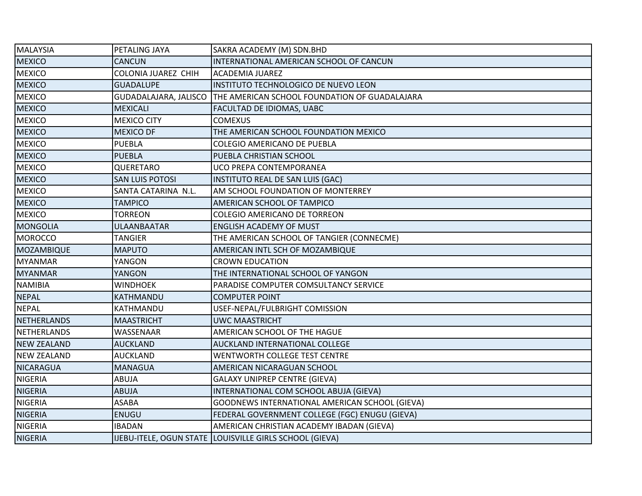| <b>MALAYSIA</b>    | PETALING JAYA          | SAKRA ACADEMY (M) SDN.BHD                                             |
|--------------------|------------------------|-----------------------------------------------------------------------|
| <b>MEXICO</b>      | <b>CANCUN</b>          | INTERNATIONAL AMERICAN SCHOOL OF CANCUN                               |
| <b>MEXICO</b>      | COLONIA JUAREZ CHIH    | <b>ACADEMIA JUAREZ</b>                                                |
| <b>MEXICO</b>      | <b>GUADALUPE</b>       | INSTITUTO TECHNOLOGICO DE NUEVO LEON                                  |
| <b>MEXICO</b>      |                        | GUDADALAJARA, JALISCO   THE AMERICAN SCHOOL FOUNDATION OF GUADALAJARA |
| <b>MEXICO</b>      | <b>MEXICALI</b>        | FACULTAD DE IDIOMAS, UABC                                             |
| <b>MEXICO</b>      | <b>MEXICO CITY</b>     | <b>COMEXUS</b>                                                        |
| <b>MEXICO</b>      | <b>MEXICO DF</b>       | THE AMERICAN SCHOOL FOUNDATION MEXICO                                 |
| <b>MEXICO</b>      | <b>PUEBLA</b>          | COLEGIO AMERICANO DE PUEBLA                                           |
| <b>MEXICO</b>      | <b>PUEBLA</b>          | PUEBLA CHRISTIAN SCHOOL                                               |
| <b>MEXICO</b>      | QUERETARO              | UCO PREPA CONTEMPORANEA                                               |
| <b>MEXICO</b>      | <b>SAN LUIS POTOSI</b> | INSTITUTO REAL DE SAN LUIS (GAC)                                      |
| <b>MEXICO</b>      | SANTA CATARINA N.L.    | AM SCHOOL FOUNDATION OF MONTERREY                                     |
| <b>MEXICO</b>      | <b>TAMPICO</b>         | AMERICAN SCHOOL OF TAMPICO                                            |
| <b>MEXICO</b>      | <b>TORREON</b>         | <b>COLEGIO AMERICANO DE TORREON</b>                                   |
| <b>MONGOLIA</b>    | <b>ULAANBAATAR</b>     | <b>ENGLISH ACADEMY OF MUST</b>                                        |
| <b>MOROCCO</b>     | <b>TANGIER</b>         | THE AMERICAN SCHOOL OF TANGIER (CONNECME)                             |
| MOZAMBIQUE         | <b>MAPUTO</b>          | AMERICAN INTL SCH OF MOZAMBIQUE                                       |
| <b>MYANMAR</b>     | YANGON                 | <b>CROWN EDUCATION</b>                                                |
| <b>MYANMAR</b>     | YANGON                 | THE INTERNATIONAL SCHOOL OF YANGON                                    |
| <b>NAMIBIA</b>     | <b>WINDHOEK</b>        | PARADISE COMPUTER COMSULTANCY SERVICE                                 |
| <b>NEPAL</b>       | KATHMANDU              | <b>COMPUTER POINT</b>                                                 |
| <b>NEPAL</b>       | KATHMANDU              | USEF-NEPAL/FULBRIGHT COMISSION                                        |
| <b>NETHERLANDS</b> | <b>MAASTRICHT</b>      | <b>UWC MAASTRICHT</b>                                                 |
| NETHERLANDS        | WASSENAAR              | AMERICAN SCHOOL OF THE HAGUE                                          |
| <b>NEW ZEALAND</b> | <b>AUCKLAND</b>        | <b>AUCKLAND INTERNATIONAL COLLEGE</b>                                 |
| <b>NEW ZEALAND</b> | <b>AUCKLAND</b>        | WENTWORTH COLLEGE TEST CENTRE                                         |
| <b>NICARAGUA</b>   | <b>MANAGUA</b>         | AMERICAN NICARAGUAN SCHOOL                                            |
| <b>NIGERIA</b>     | ABUJA                  | <b>GALAXY UNIPREP CENTRE (GIEVA)</b>                                  |
| <b>NIGERIA</b>     | <b>ABUJA</b>           | INTERNATIONAL COM SCHOOL ABUJA (GIEVA)                                |
| <b>NIGERIA</b>     | <b>ASABA</b>           | GOODNEWS INTERNATIONAL AMERICAN SCHOOL (GIEVA)                        |
| <b>NIGERIA</b>     | <b>ENUGU</b>           | FEDERAL GOVERNMENT COLLEGE (FGC) ENUGU (GIEVA)                        |
| <b>NIGERIA</b>     | <b>IBADAN</b>          | AMERICAN CHRISTIAN ACADEMY IBADAN (GIEVA)                             |
| <b>NIGERIA</b>     |                        | IJEBU-ITELE, OGUN STATE LOUISVILLE GIRLS SCHOOL (GIEVA)               |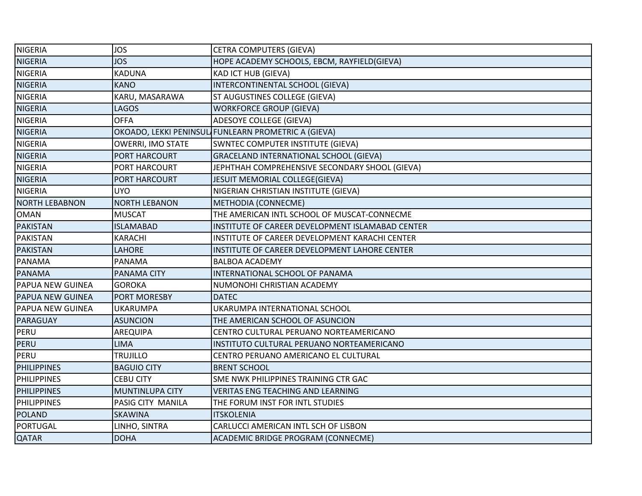| <b>NIGERIA</b>          | <b>JOS</b>               | <b>CETRA COMPUTERS (GIEVA)</b>                      |
|-------------------------|--------------------------|-----------------------------------------------------|
| <b>NIGERIA</b>          | <b>JOS</b>               | HOPE ACADEMY SCHOOLS, EBCM, RAYFIELD(GIEVA)         |
| <b>NIGERIA</b>          | <b>KADUNA</b>            | <b>KAD ICT HUB (GIEVA)</b>                          |
| <b>NIGERIA</b>          | <b>KANO</b>              | INTERCONTINENTAL SCHOOL (GIEVA)                     |
| <b>NIGERIA</b>          | KARU, MASARAWA           | ST AUGUSTINES COLLEGE (GIEVA)                       |
| <b>NIGERIA</b>          | <b>LAGOS</b>             | <b>WORKFORCE GROUP (GIEVA)</b>                      |
| <b>NIGERIA</b>          | <b>OFFA</b>              | ADESOYE COLLEGE (GIEVA)                             |
| <b>NIGERIA</b>          |                          | OKOADO, LEKKI PENINSUL FUNLEARN PROMETRIC A (GIEVA) |
| <b>NIGERIA</b>          | <b>OWERRI, IMO STATE</b> | SWNTEC COMPUTER INSTITUTE (GIEVA)                   |
| <b>NIGERIA</b>          | PORT HARCOURT            | GRACELAND INTERNATIONAL SCHOOL (GIEVA)              |
| <b>NIGERIA</b>          | PORT HARCOURT            | JEPHTHAH COMPREHENSIVE SECONDARY SHOOL (GIEVA)      |
| <b>NIGERIA</b>          | PORT HARCOURT            | JESUIT MEMORIAL COLLEGE(GIEVA)                      |
| <b>NIGERIA</b>          | <b>UYO</b>               | NIGERIAN CHRISTIAN INSTITUTE (GIEVA)                |
| <b>NORTH LEBABNON</b>   | <b>NORTH LEBANON</b>     | METHODIA (CONNECME)                                 |
| <b>OMAN</b>             | <b>MUSCAT</b>            | THE AMERICAN INTL SCHOOL OF MUSCAT-CONNECME         |
| <b>PAKISTAN</b>         | <b>ISLAMABAD</b>         | INSTITUTE OF CAREER DEVELOPMENT ISLAMABAD CENTER    |
| <b>PAKISTAN</b>         | KARACHI                  | INSTITUTE OF CAREER DEVELOPMENT KARACHI CENTER      |
| <b>PAKISTAN</b>         | <b>LAHORE</b>            | INSTITUTE OF CAREER DEVELOPMENT LAHORE CENTER       |
| <b>PANAMA</b>           | <b>PANAMA</b>            | <b>BALBOA ACADEMY</b>                               |
| <b>PANAMA</b>           | PANAMA CITY              | INTERNATIONAL SCHOOL OF PANAMA                      |
| PAPUA NEW GUINEA        | <b>GOROKA</b>            | NUMONOHI CHRISTIAN ACADEMY                          |
| <b>PAPUA NEW GUINEA</b> | PORT MORESBY             | <b>DATEC</b>                                        |
| PAPUA NEW GUINEA        | <b>UKARUMPA</b>          | UKARUMPA INTERNATIONAL SCHOOL                       |
| PARAGUAY                | <b>ASUNCION</b>          | THE AMERICAN SCHOOL OF ASUNCION                     |
| PERU                    | AREQUIPA                 | CENTRO CULTURAL PERUANO NORTEAMERICANO              |
| <b>PERU</b>             | <b>LIMA</b>              | INSTITUTO CULTURAL PERUANO NORTEAMERICANO           |
| PERU                    | TRUJILLO                 | CENTRO PERUANO AMERICANO EL CULTURAL                |
| <b>PHILIPPINES</b>      | <b>BAGUIO CITY</b>       | <b>BRENT SCHOOL</b>                                 |
| <b>PHILIPPINES</b>      | <b>CEBU CITY</b>         | SME NWK PHILIPPINES TRAINING CTR GAC                |
| <b>PHILIPPINES</b>      | MUNTINLUPA CITY          | <b>VERITAS ENG TEACHING AND LEARNING</b>            |
| <b>PHILIPPINES</b>      | PASIG CITY MANILA        | THE FORUM INST FOR INTL STUDIES                     |
| <b>POLAND</b>           | <b>SKAWINA</b>           | <b>ITSKOLENIA</b>                                   |
| <b>PORTUGAL</b>         | LINHO, SINTRA            | CARLUCCI AMERICAN INTL SCH OF LISBON                |
| <b>QATAR</b>            | <b>DOHA</b>              | ACADEMIC BRIDGE PROGRAM (CONNECME)                  |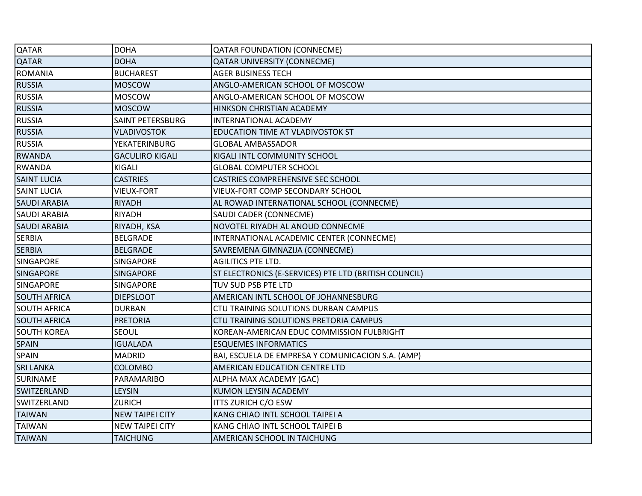| QATAR               | <b>DOHA</b>            | <b>QATAR FOUNDATION (CONNECME)</b>                    |
|---------------------|------------------------|-------------------------------------------------------|
| <b>QATAR</b>        | <b>DOHA</b>            | <b>QATAR UNIVERSITY (CONNECME)</b>                    |
| <b>ROMANIA</b>      | <b>BUCHAREST</b>       | <b>AGER BUSINESS TECH</b>                             |
| <b>RUSSIA</b>       | <b>MOSCOW</b>          | ANGLO-AMERICAN SCHOOL OF MOSCOW                       |
| <b>RUSSIA</b>       | <b>MOSCOW</b>          | ANGLO-AMERICAN SCHOOL OF MOSCOW                       |
| <b>RUSSIA</b>       | <b>MOSCOW</b>          | HINKSON CHRISTIAN ACADEMY                             |
| <b>RUSSIA</b>       | SAINT PETERSBURG       | INTERNATIONAL ACADEMY                                 |
| <b>RUSSIA</b>       | <b>VLADIVOSTOK</b>     | <b>EDUCATION TIME AT VLADIVOSTOK ST</b>               |
| <b>RUSSIA</b>       | <b>YEKATERINBURG</b>   | <b>GLOBAL AMBASSADOR</b>                              |
| <b>RWANDA</b>       | <b>GACULIRO KIGALI</b> | KIGALI INTL COMMUNITY SCHOOL                          |
| <b>RWANDA</b>       | KIGALI                 | <b>GLOBAL COMPUTER SCHOOL</b>                         |
| <b>SAINT LUCIA</b>  | <b>CASTRIES</b>        | CASTRIES COMPREHENSIVE SEC SCHOOL                     |
| <b>SAINT LUCIA</b>  | <b>VIEUX-FORT</b>      | VIEUX-FORT COMP SECONDARY SCHOOL                      |
| <b>SAUDI ARABIA</b> | <b>RIYADH</b>          | AL ROWAD INTERNATIONAL SCHOOL (CONNECME)              |
| <b>SAUDI ARABIA</b> | RIYADH                 | SAUDI CADER (CONNECME)                                |
| <b>SAUDI ARABIA</b> | RIYADH, KSA            | NOVOTEL RIYADH AL ANOUD CONNECME                      |
| <b>SERBIA</b>       | <b>BELGRADE</b>        | INTERNATIONAL ACADEMIC CENTER (CONNECME)              |
| <b>SERBIA</b>       | <b>BELGRADE</b>        | SAVREMENA GIMNAZIJA (CONNECME)                        |
| SINGAPORE           | <b>SINGAPORE</b>       | <b>AGILITICS PTE LTD.</b>                             |
| <b>SINGAPORE</b>    | <b>SINGAPORE</b>       | ST ELECTRONICS (E-SERVICES) PTE LTD (BRITISH COUNCIL) |
| SINGAPORE           | <b>SINGAPORE</b>       | TUV SUD PSB PTE LTD                                   |
| <b>SOUTH AFRICA</b> | <b>DIEPSLOOT</b>       | AMERICAN INTL SCHOOL OF JOHANNESBURG                  |
| <b>SOUTH AFRICA</b> | <b>DURBAN</b>          | CTU TRAINING SOLUTIONS DURBAN CAMPUS                  |
| <b>SOUTH AFRICA</b> | <b>PRETORIA</b>        | CTU TRAINING SOLUTIONS PRETORIA CAMPUS                |
| <b>SOUTH KOREA</b>  | <b>SEOUL</b>           | KOREAN-AMERICAN EDUC COMMISSION FULBRIGHT             |
| <b>SPAIN</b>        | <b>IGUALADA</b>        | <b>ESQUEMES INFORMATICS</b>                           |
| SPAIN               | <b>MADRID</b>          | BAI, ESCUELA DE EMPRESA Y COMUNICACION S.A. (AMP)     |
| <b>SRI LANKA</b>    | <b>COLOMBO</b>         | AMERICAN EDUCATION CENTRE LTD                         |
| SURINAME            | PARAMARIBO             | ALPHA MAX ACADEMY (GAC)                               |
| SWITZERLAND         | LEYSIN                 | KUMON LEYSIN ACADEMY                                  |
| SWITZERLAND         | <b>ZURICH</b>          | ITTS ZURICH C/O ESW                                   |
| <b>TAIWAN</b>       | <b>NEW TAIPEI CITY</b> | KANG CHIAO INTL SCHOOL TAIPEI A                       |
| <b>TAIWAN</b>       | <b>NEW TAIPEI CITY</b> | KANG CHIAO INTL SCHOOL TAIPEI B                       |
| <b>TAIWAN</b>       | <b>TAICHUNG</b>        | AMERICAN SCHOOL IN TAICHUNG                           |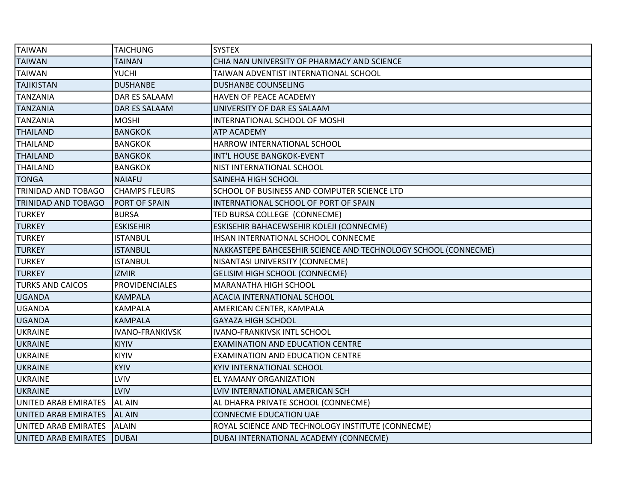| <b>TAIWAN</b>           | <b>TAICHUNG</b>        | <b>SYSTEX</b>                                                  |
|-------------------------|------------------------|----------------------------------------------------------------|
| <b>TAIWAN</b>           | <b>TAINAN</b>          | CHIA NAN UNIVERSITY OF PHARMACY AND SCIENCE                    |
| <b>TAIWAN</b>           | <b>YUCHI</b>           | TAIWAN ADVENTIST INTERNATIONAL SCHOOL                          |
| <b>TAJIKISTAN</b>       | <b>DUSHANBE</b>        | DUSHANBE COUNSELING                                            |
| TANZANIA                | DAR ES SALAAM          | HAVEN OF PEACE ACADEMY                                         |
| <b>TANZANIA</b>         | DAR ES SALAAM          | UNIVERSITY OF DAR ES SALAAM                                    |
| <b>TANZANIA</b>         | <b>MOSHI</b>           | INTERNATIONAL SCHOOL OF MOSHI                                  |
| <b>THAILAND</b>         | <b>BANGKOK</b>         | <b>ATP ACADEMY</b>                                             |
| <b>THAILAND</b>         | <b>BANGKOK</b>         | HARROW INTERNATIONAL SCHOOL                                    |
| <b>THAILAND</b>         | <b>BANGKOK</b>         | INT'L HOUSE BANGKOK-EVENT                                      |
| <b>THAILAND</b>         | <b>BANGKOK</b>         | NIST INTERNATIONAL SCHOOL                                      |
| <b>TONGA</b>            | <b>NAIAFU</b>          | <b>SAINEHA HIGH SCHOOL</b>                                     |
| TRINIDAD AND TOBAGO     | <b>CHAMPS FLEURS</b>   | SCHOOL OF BUSINESS AND COMPUTER SCIENCE LTD                    |
| TRINIDAD AND TOBAGO     | PORT OF SPAIN          | INTERNATIONAL SCHOOL OF PORT OF SPAIN                          |
| <b>TURKEY</b>           | <b>BURSA</b>           | TED BURSA COLLEGE (CONNECME)                                   |
| <b>TURKEY</b>           | ESKISEHIR              | ESKISEHIR BAHACEWSEHIR KOLEJI (CONNECME)                       |
| <b>TURKEY</b>           | <b>ISTANBUL</b>        | IHSAN INTERNATIONAL SCHOOL CONNECME                            |
| <b>TURKEY</b>           | <b>ISTANBUL</b>        | NAKKASTEPE BAHCESEHIR SCIENCE AND TECHNOLOGY SCHOOL (CONNECME) |
| <b>TURKEY</b>           | <b>ISTANBUL</b>        | NISANTASI UNIVERSITY (CONNECME)                                |
| <b>TURKEY</b>           | <b>IZMIR</b>           | <b>GELISIM HIGH SCHOOL (CONNECME)</b>                          |
| <b>TURKS AND CAICOS</b> | <b>PROVIDENCIALES</b>  | MARANATHA HIGH SCHOOL                                          |
| <b>UGANDA</b>           | <b>KAMPALA</b>         | <b>ACACIA INTERNATIONAL SCHOOL</b>                             |
| <b>UGANDA</b>           | <b>KAMPALA</b>         | AMERICAN CENTER, KAMPALA                                       |
| <b>UGANDA</b>           | <b>KAMPALA</b>         | <b>GAYAZA HIGH SCHOOL</b>                                      |
| <b>UKRAINE</b>          | <b>IVANO-FRANKIVSK</b> | <b>IVANO-FRANKIVSK INTL SCHOOL</b>                             |
| <b>UKRAINE</b>          | <b>KIYIV</b>           | <b>EXAMINATION AND EDUCATION CENTRE</b>                        |
| <b>UKRAINE</b>          | <b>KIYIV</b>           | <b>EXAMINATION AND EDUCATION CENTRE</b>                        |
| <b>UKRAINE</b>          | <b>KYIV</b>            | KYIV INTERNATIONAL SCHOOL                                      |
| <b>UKRAINE</b>          | LVIV                   | EL YAMANY ORGANIZATION                                         |
| <b>UKRAINE</b>          | LVIV                   | LVIV INTERNATIONAL AMERICAN SCH                                |
| UNITED ARAB EMIRATES    | <b>AL AIN</b>          | AL DHAFRA PRIVATE SCHOOL (CONNECME)                            |
| UNITED ARAB EMIRATES    | <b>AL AIN</b>          | <b>CONNECME EDUCATION UAE</b>                                  |
| UNITED ARAB EMIRATES    | ALAIN                  | ROYAL SCIENCE AND TECHNOLOGY INSTITUTE (CONNECME)              |
| UNITED ARAB EMIRATES    | <b>DUBAI</b>           | DUBAI INTERNATIONAL ACADEMY (CONNECME)                         |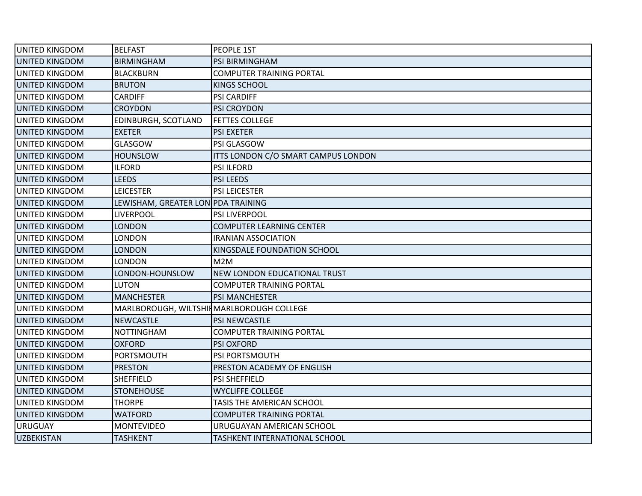| UNITED KINGDOM        | <b>BELFAST</b>                            | PEOPLE 1ST                          |
|-----------------------|-------------------------------------------|-------------------------------------|
| UNITED KINGDOM        | <b>BIRMINGHAM</b>                         | PSI BIRMINGHAM                      |
| UNITED KINGDOM        | <b>BLACKBURN</b>                          | <b>COMPUTER TRAINING PORTAL</b>     |
| UNITED KINGDOM        | <b>BRUTON</b>                             | <b>KINGS SCHOOL</b>                 |
| UNITED KINGDOM        | <b>CARDIFF</b>                            | <b>PSI CARDIFF</b>                  |
| UNITED KINGDOM        | <b>CROYDON</b>                            | PSI CROYDON                         |
| UNITED KINGDOM        | EDINBURGH, SCOTLAND                       | <b>FETTES COLLEGE</b>               |
| UNITED KINGDOM        | <b>EXETER</b>                             | <b>PSI EXETER</b>                   |
| UNITED KINGDOM        | GLASGOW                                   | PSI GLASGOW                         |
| UNITED KINGDOM        | <b>HOUNSLOW</b>                           | ITTS LONDON C/O SMART CAMPUS LONDON |
| UNITED KINGDOM        | <b>ILFORD</b>                             | <b>PSI ILFORD</b>                   |
| UNITED KINGDOM        | <b>LEEDS</b>                              | <b>PSI LEEDS</b>                    |
| UNITED KINGDOM        | <b>LEICESTER</b>                          | PSI LEICESTER                       |
| UNITED KINGDOM        | LEWISHAM, GREATER LON PDA TRAINING        |                                     |
| UNITED KINGDOM        | LIVERPOOL                                 | <b>PSI LIVERPOOL</b>                |
| UNITED KINGDOM        | LONDON                                    | COMPUTER LEARNING CENTER            |
| UNITED KINGDOM        | LONDON                                    | <b>IRANIAN ASSOCIATION</b>          |
| UNITED KINGDOM        | LONDON                                    | KINGSDALE FOUNDATION SCHOOL         |
| UNITED KINGDOM        | LONDON                                    | M2M                                 |
| UNITED KINGDOM        | LONDON-HOUNSLOW                           | NEW LONDON EDUCATIONAL TRUST        |
| <b>UNITED KINGDOM</b> | LUTON                                     | COMPUTER TRAINING PORTAL            |
| UNITED KINGDOM        | <b>MANCHESTER</b>                         | <b>PSI MANCHESTER</b>               |
| UNITED KINGDOM        | MARLBOROUGH, WILTSHIN MARLBOROUGH COLLEGE |                                     |
| UNITED KINGDOM        | <b>NEWCASTLE</b>                          | <b>PSI NEWCASTLE</b>                |
| UNITED KINGDOM        | <b>NOTTINGHAM</b>                         | <b>COMPUTER TRAINING PORTAL</b>     |
| UNITED KINGDOM        | <b>OXFORD</b>                             | <b>PSI OXFORD</b>                   |
| UNITED KINGDOM        | <b>PORTSMOUTH</b>                         | PSI PORTSMOUTH                      |
| UNITED KINGDOM        | <b>PRESTON</b>                            | PRESTON ACADEMY OF ENGLISH          |
| <b>UNITED KINGDOM</b> | <b>SHEFFIELD</b>                          | <b>PSI SHEFFIELD</b>                |
| UNITED KINGDOM        | <b>STONEHOUSE</b>                         | <b>WYCLIFFE COLLEGE</b>             |
| UNITED KINGDOM        | <b>THORPE</b>                             | TASIS THE AMERICAN SCHOOL           |
| UNITED KINGDOM        | <b>WATFORD</b>                            | <b>COMPUTER TRAINING PORTAL</b>     |
| URUGUAY               | <b>MONTEVIDEO</b>                         | URUGUAYAN AMERICAN SCHOOL           |
| <b>UZBEKISTAN</b>     | <b>TASHKENT</b>                           | TASHKENT INTERNATIONAL SCHOOL       |